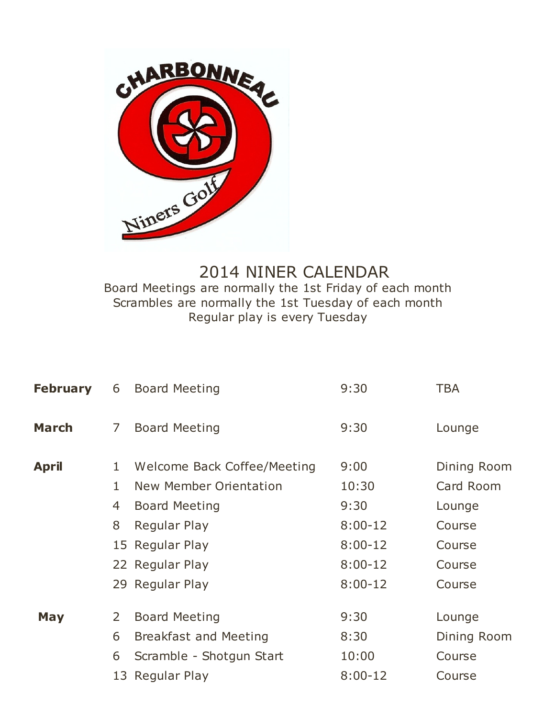

## 2014 NINER CALENDAR Board Meetings are normally the 1st Friday of each month Scrambles are normally the 1st Tuesday of each month Regular play is every Tuesday

| <b>February</b> | 6              | <b>Board Meeting</b>         | 9:30      | <b>TBA</b>  |
|-----------------|----------------|------------------------------|-----------|-------------|
| March           | $\overline{7}$ | <b>Board Meeting</b>         | 9:30      | Lounge      |
| April           | $\mathbf{1}$   | Welcome Back Coffee/Meeting  | 9:00      | Dining Room |
|                 | $\mathbf{1}$   | New Member Orientation       | 10:30     | Card Room   |
|                 | 4              | <b>Board Meeting</b>         | 9:30      | Lounge      |
|                 | 8              | Regular Play                 | $8:00-12$ | Course      |
|                 |                | 15 Regular Play              | $8:00-12$ | Course      |
|                 |                | 22 Regular Play              | $8:00-12$ | Course      |
|                 |                | 29 Regular Play              | $8:00-12$ | Course      |
| <b>May</b>      | $\overline{2}$ | <b>Board Meeting</b>         | 9:30      | Lounge      |
|                 | 6              | <b>Breakfast and Meeting</b> | 8:30      | Dining Room |
|                 | 6              | Scramble - Shotgun Start     | 10:00     | Course      |
|                 |                | 13 Regular Play              | $8:00-12$ | Course      |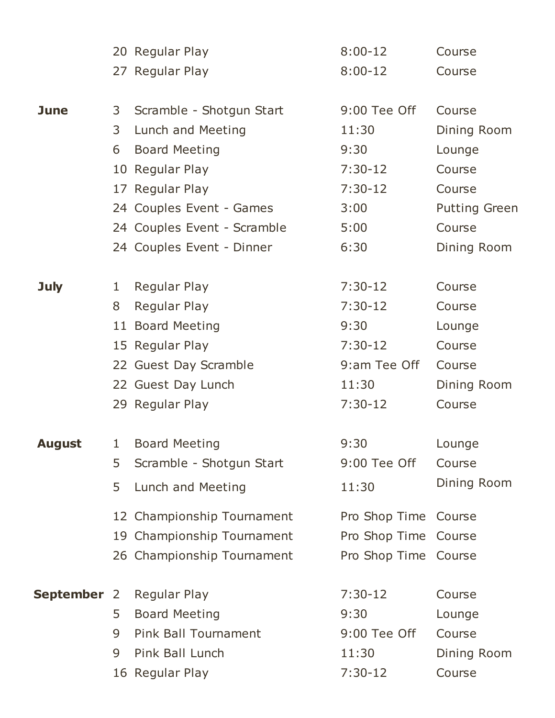|                    |   | 20 Regular Play             | $8:00-12$            | Course               |
|--------------------|---|-----------------------------|----------------------|----------------------|
|                    |   | 27 Regular Play             | $8:00-12$            | Course               |
|                    |   |                             |                      |                      |
| <b>June</b>        | 3 | Scramble - Shotgun Start    | 9:00 Tee Off         | Course               |
|                    | 3 | Lunch and Meeting           | 11:30                | Dining Room          |
|                    | 6 | <b>Board Meeting</b>        | 9:30                 | Lounge               |
|                    |   | 10 Regular Play             | $7:30-12$            | Course               |
|                    |   | 17 Regular Play             | $7:30-12$            | Course               |
|                    |   | 24 Couples Event - Games    | 3:00                 | <b>Putting Green</b> |
|                    |   | 24 Couples Event - Scramble | 5:00                 | Course               |
|                    |   | 24 Couples Event - Dinner   | 6:30                 | Dining Room          |
|                    |   |                             |                      |                      |
| <b>July</b>        | 1 | <b>Regular Play</b>         | $7:30-12$            | Course               |
|                    | 8 | Regular Play                | $7:30-12$            | Course               |
|                    |   | 11 Board Meeting            | 9:30                 | Lounge               |
|                    |   | 15 Regular Play             | $7:30-12$            | Course               |
|                    |   | 22 Guest Day Scramble       | 9:am Tee Off         | Course               |
|                    |   | 22 Guest Day Lunch          | 11:30                | Dining Room          |
|                    |   | 29 Regular Play             | $7:30-12$            | Course               |
|                    |   |                             |                      |                      |
| <b>August</b>      | 1 | <b>Board Meeting</b>        | 9:30                 | Lounge               |
|                    | 5 | Scramble - Shotgun Start    | 9:00 Tee Off         | Course               |
|                    | 5 | Lunch and Meeting           | 11:30                | Dining Room          |
|                    |   | 12 Championship Tournament  | Pro Shop Time        | Course               |
|                    |   | 19 Championship Tournament  | Pro Shop Time Course |                      |
|                    |   | 26 Championship Tournament  | Pro Shop Time Course |                      |
| <b>September 2</b> |   | <b>Regular Play</b>         | $7:30-12$            | Course               |
|                    | 5 | <b>Board Meeting</b>        | 9:30                 | Lounge               |
|                    | 9 | <b>Pink Ball Tournament</b> | 9:00 Tee Off         | Course               |
|                    | 9 | Pink Ball Lunch             | 11:30                | Dining Room          |
|                    |   | 16 Regular Play             | $7:30-12$            | Course               |
|                    |   |                             |                      |                      |